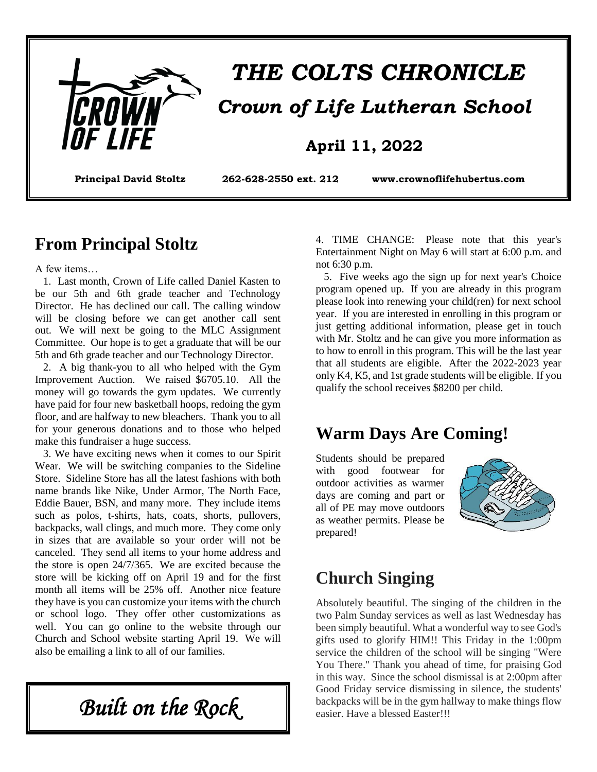

# *THE COLTS CHRONICLE Crown of Life Lutheran School*

#### **April 11, 2022**

**Principal David Stoltz 262-628-2550 ext. 212 [www.crownoflifehubertus.com](http://www.crownoflifehubertus.com/)**

#### **From Principal Stoltz**

A few items…

 1. Last month, Crown of Life called Daniel Kasten to be our 5th and 6th grade teacher and Technology Director. He has declined our call. The calling window will be closing before we can get another call sent out. We will next be going to the MLC Assignment Committee. Our hope is to get a graduate that will be our 5th and 6th grade teacher and our Technology Director.

 2. A big thank-you to all who helped with the Gym Improvement Auction. We raised \$6705.10. All the money will go towards the gym updates. We currently have paid for four new basketball hoops, redoing the gym floor, and are halfway to new bleachers. Thank you to all for your generous donations and to those who helped make this fundraiser a huge success.

 3. We have exciting news when it comes to our Spirit Wear. We will be switching companies to the Sideline Store. Sideline Store has all the latest fashions with both name brands like Nike, Under Armor, The North Face, Eddie Bauer, BSN, and many more. They include items such as polos, t-shirts, hats, coats, shorts, pullovers, backpacks, wall clings, and much more. They come only in sizes that are available so your order will not be canceled. They send all items to your home address and the store is open 24/7/365. We are excited because the store will be kicking off on April 19 and for the first month all items will be 25% off. Another nice feature they have is you can customize your items with the church or school logo. They offer other customizations as well. You can go online to the website through our Church and School website starting April 19. We will also be emailing a link to all of our families.

*Built on the Rock* 

4. TIME CHANGE: Please note that this year's Entertainment Night on May 6 will start at 6:00 p.m. and not 6:30 p.m.

 5. Five weeks ago the sign up for next year's Choice program opened up. If you are already in this program please look into renewing your child(ren) for next school year. If you are interested in enrolling in this program or just getting additional information, please get in touch with Mr. Stoltz and he can give you more information as to how to enroll in this program. This will be the last year that all students are eligible. After the 2022-2023 year only K4, K5, and 1st grade students will be eligible. If you qualify the school receives \$8200 per child.

#### **Warm Days Are Coming!**

Students should be prepared with good footwear for outdoor activities as warmer days are coming and part or all of PE may move outdoors as weather permits. Please be prepared!



### **Church Singing**

Absolutely beautiful. The singing of the children in the two Palm Sunday services as well as last Wednesday has been simply beautiful. What a wonderful way to see God's gifts used to glorify HIM!! This Friday in the 1:00pm service the children of the school will be singing "Were You There." Thank you ahead of time, for praising God in this way. Since the school dismissal is at 2:00pm after Good Friday service dismissing in silence, the students' backpacks will be in the gym hallway to make things flow easier. Have a blessed Easter!!!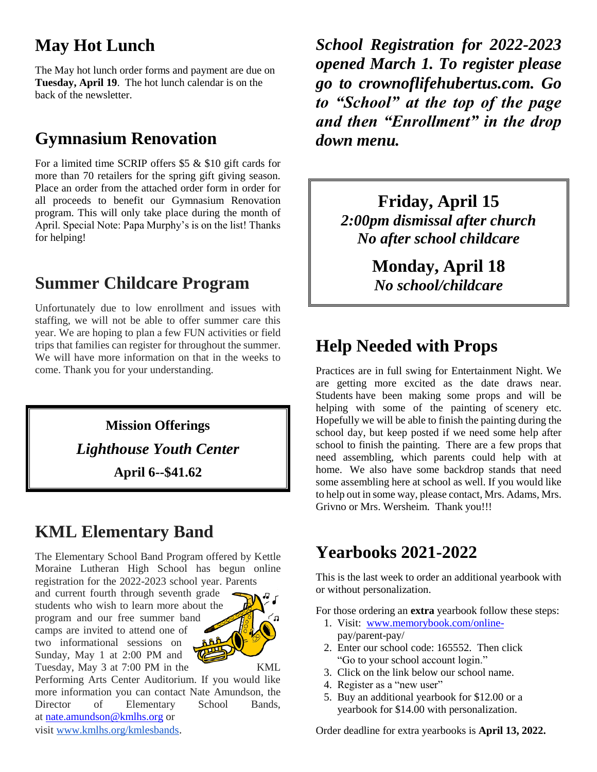## **May Hot Lunch**

The May hot lunch order forms and payment are due on **Tuesday, April 19**. The hot lunch calendar is on the back of the newsletter.

# **Gymnasium Renovation**

For a limited time SCRIP offers \$5 & \$10 gift cards for more than 70 retailers for the spring gift giving season. Place an order from the attached order form in order for all proceeds to benefit our Gymnasium Renovation program. This will only take place during the month of April. Special Note: Papa Murphy's is on the list! Thanks for helping!

# **Summer Childcare Program**

Unfortunately due to low enrollment and issues with staffing, we will not be able to offer summer care this year. We are hoping to plan a few FUN activities or field trips that families can register for throughout the summer. We will have more information on that in the weeks to come. Thank you for your understanding.

> **Mission Offerings** *Lighthouse Youth Center* **April 6--\$41.62**

# **KML Elementary Band**

The Elementary School Band Program offered by Kettle Moraine Lutheran High School has begun online registration for the 2022-2023 school year. Parents

and current fourth through seventh grade students who wish to learn more about the program and our free summer band camps are invited to attend one of two informational sessions on Sunday, May 1 at 2:00 PM and Tuesday, May 3 at 7:00 PM in the KML



Performing Arts Center Auditorium. If you would like more information you can contact Nate Amundson, the Director of Elementary School Bands, at [nate.amundson@kmlhs.org](mailto:nate.amundson@kmlhs.org) or visit [www.kmlhs.org/kmlesbands](http://www.kmlhs.org/kmlesbands).

*School Registration for 2022-2023 opened March 1. To register please go to crownoflifehubertus.com. Go to "School" at the top of the page and then "Enrollment" in the drop down menu.*

> **Friday, April 15** *2:00pm dismissal after church No after school childcare*

> > **Monday, April 18** *No school/childcare*

# **Help Needed with Props**

Practices are in full swing for Entertainment Night. We are getting more excited as the date draws near. Students have been making some props and will be helping with some of the painting of scenery etc. Hopefully we will be able to finish the painting during the school day, but keep posted if we need some help after school to finish the painting. There are a few props that need assembling, which parents could help with at home. We also have some backdrop stands that need some assembling here at school as well. If you would like to help out in some way, please contact, Mrs. Adams, Mrs. Grivno or Mrs. Wersheim. Thank you!!!

## **Yearbooks 2021-2022**

This is the last week to order an additional yearbook with or without personalization.

For those ordering an **extra** yearbook follow these steps:

- 1. Visit: [www.memorybook.com/online](http://www.memorybook.com/online-)  pay/parent-pay/
- 2. Enter our school code: 165552. Then click "Go to your school account login."
- 3. Click on the link below our school name.
- 4. Register as a "new user"
- 5. Buy an additional yearbook for \$12.00 or a yearbook for \$14.00 with personalization.

Order deadline for extra yearbooks is **April 13, 2022.**